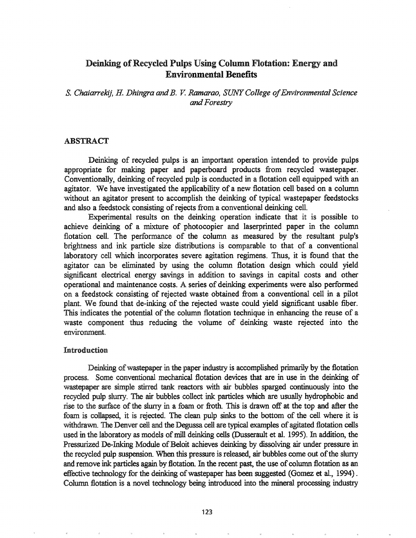## Deinking of Recycled Pulps Using Column Flotation: Energy and Environmental Benefits

s. *Chaiarrekij, lL Dhingra* andBG *V. Ramarao, SUNYCollege ofEnvironmental Science* and*Forestry*

## ABSTRACT

Deinking of recycled pulps is an important operation intended to provide pulps appropriate for making paper and paperboard products from recycled wastepaper. Conventionally, deinking of recycled pulp is conducted in a flotation cell equipped with an agitator. We have investigated the applicability of a new flotation cell based on a column without an agitator present to accomplish the deinking of typical wastepaper feedstocks and also a feedstock consisting of rejects from a conventional deinking cell.

Experimental results on the deinking operation indicate that it is possible to achieve deinking of a mixture of photocopier and laserprinted paper in the column flotation cell. The performance of the column as measured by the resultant pulp's brightness and ink particle size distributions is comparable to that of a conventional laboratory cell which incorporates severe agitation regimens. Thus, it is found that the agitator can be eliminated by using the column flotation design which could yield significant electrical energy savings in addition to savings in. capital costs and other operational and maintenance costs. A series of deinking experiments were also performed on a feedstock consisting of rejected waste obtained from a conventional cell in a pilot plant. We found that de-inking of the rejected waste could yield significant usable fiber. This indicates the potential of the column flotation technique in enhancing the reuse of a waste component thus reducing the volume of deinking waste rejected into the environment.

## Introduction

Deinking of wastepaper in the paper industry is accomplished primarily by the flotation process. Some conventional mechanical flotation devices that are in use in the deinking of wastepaper are simple stirred tank reactors with air bubbles sparged continuously into the recycled pulp slurry. The air bubbles collect ink particles which are usually hydrophobic and rise to the surface of the slurry in a foam or froth. This is drawn off at the top and after the foam is collapsed, it is rejected. The clean pulp sinks to the bottom of the cell where it is withdrawn. The Denver cell and the Degussa cell are typical examples of agitated flotation cells used in the laboratory as models of mill deinking cells (Dusserault et al. 1995). In addition, the Pressurized De-Inking Module of Beloit achieves deinking by dissolving air under pressure in the recycled pulp suspension. When this pressure is released, air bubbles come out ofthe slurry and remove ink particles again by flotation. In the recent past, the use of column flotation as an effective technology for the deinking ofwastepaper has been suggested (Gomez et al., 1994). Column flotation is a novel technology being introduced into the mineral processing industry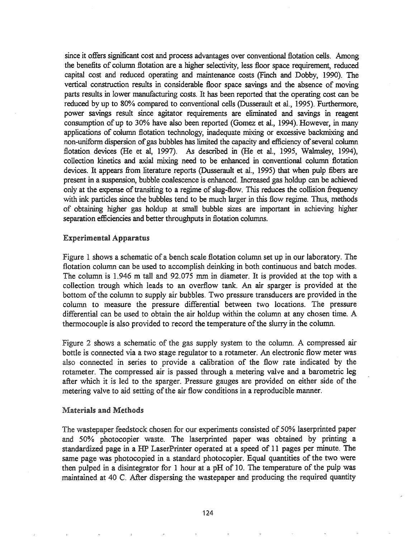since it offers significant cost and process advantages over conventional flotation cells. Among the benefits of column flotation are a higher selectivity, less floor space requirement, reduced capital cost and reduced operating and maintenance costs (Finch and Dobby, 1990). The vertical construction results in considerable floor space savings and the absence of moving parts results in lower manufacturing costs. It has been reported that the operating cost can be reduced by up to 80% compared to conventional cells (Dusserault et al., 1995). Furthennore, power savings result since agitator requirements are eliminated and savings in reagent consumption of up to 30% have also been reported (Gomez et al., 1994). However, in many applications of column flotation technology, inadequate mixing or excessive backmixing and non-uniform dispersion of gas bubbles has limited the capacity and efficiency of several column flotation devices (He et aI, 1997). *As* described in (He et al., 1995, Walmsley, 1994), collection kinetics and axial mixing need to be enhanced in conventional column flotation devices. It appears from literature reports (Dusserault et al., 1995) that when pulp fibers are present in a suspension, bubble coalescence is enhanced. Increased gas holdup can be achieved only at the expense of transiting to a regime of slug-flow. This reduces the collision frequency with ink particles since the bubbles tend to be much larger in this flow regime. Thus, methods of obtaining higher *gas* holdup at small bubble sizes are important in achieving higher separation efficiencies and better throughputs in flotation columns.

## Experimental Apparatus

Figure 1 shows a schematic of a bench scale flotation column set up in our laboratory. The flotation column can be used to accomplish deinking in both continuous and batch modes. The column is 1.946 m tall and 92.075 mm in diameter. It is provided at the top with a collection trough which leads to an overflow tank. An air sparger is provided at the bottom of the column to supply air bubbles. Two pressure transducers are provided in the column to measure the pressure differential between two locations. The pressure differential can be used to obtain the air holdup within the column at any chosen time. A thermocouple is also provided to record the temperature of the slurry in the column.

Figure 2 shows a schematic of the gas supply system to the column. A compressed air bottle is connected via a two stage regulator to a rotameter. An electronic flow meter was also connected in series to provide a calibration of the flow rate indicated by the rotameter. The compressed air is passed through a metering valve and a barometric leg after which it is led to the sparger. Pressure gauges are provided on either side of the metering valve to aid setting of the air flow conditions in a reproducible manner.

## Materials and Methods

The wastepaper feedstock chosen for our experiments consisted of 50% laserprinted paper and 50% photocopier waste. The laserprinted paper was obtained by printing a standardized page in a HP LaserPrinter operated at a speed of 11 pages per minute. The same page was photocopied in a standard photocopier. Equal quantities of the two were then pulped in a disintegrator for 1 hour at a pH of 10. The temperature of the pulp was maintained at 40 C. After dispersing the wastepaper and producing the required quantity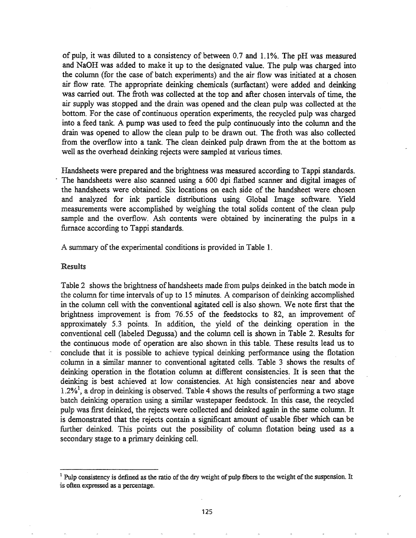of pulp, it was diluted to a consistency of between 0.7 and 1.1%. The pH was measured and NaOH was added to make it up to the designated value. The pulp was charged into the column (for the case of batch experiments) and the air flow was initiated at a chosen air flow rate. The appropriate deinking chemicals (surfactant) were added and deinking was carried out. The froth was collected at the top and after chosen intervals of time, the air supply was stopped and the drain was opened and the clean pulp was collected at the bottom. For the case of continuous operation experiments, the recycled pulp was charged into a feed tank. A pump was used to feed the pulp continuously into the column and the drain was opened to allow the clean pulp to be drawn out. The froth was also collected from the overflow into a tank. The clean deinked pulp drawn from the at the bottom as well as the overhead deinking rejects were sampled at various times.

Handsheets were prepared and the brightness was measured according to Tappi standards. . The handsheets were also scanned using a 600 dpi flatbed scanner and digital images of the handsheets were obtained. Six locations on each side of the handsheet were chosen and analyzed for ink particle distributions using Global Image software. Yield measurements were accomplished by weighing the total solids content of the clean pulp sample and the overflow. Ash contents were obtained by incinerating the pulps in a furnace according to Tappi standards.

A summary of the experimental conditions is provided in Table 1.

#### Results

Table 2 shows the brightness of handsheets made from pulps deinked in the batch mode in the column for time intervals of up to 15 minutes. A comparison of deinking accomplished in the column cell with the conventional agitated cell is also shown. We note first that the brightness improvement is from 76.55 of the feedstocks to 82, an improvement of approximately 5.3 points. In addition, the yield of the deinking operation in the conventional cell (labeled Degussa) and the column cell is shown in Table 2. Results for the continuous mode of operation are also shown in this table. These results lead us to conclude that it is possible to achieve typical deinking performance using the flotation column in a similar manner to conventional agitated cells. Table 3 shows the results of deinking operation in the flotation column at different consistencies. It is seen that the deinking is best achieved at low consistencies. At high consistencies near and above  $1.2\%$ <sup>1</sup>, a drop in deinking is observed. Table 4 shows the results of performing a two stage batch deinking operation using a similar wastepaper feedstock. In this case, the recycled pulp was first deinked, the rejects were collected and deinked again in the same column. It is demonstrated that the rejects contain a significant amount of usable fiber which can be further deinked. This points out the possibility of column flotation being used as a secondary stage to a primary deinking cell.

 $1$  Pulp consistency is defined as the ratio of the dry weight of pulp fibers to the weight of the suspension. It is often expressed as a percentage.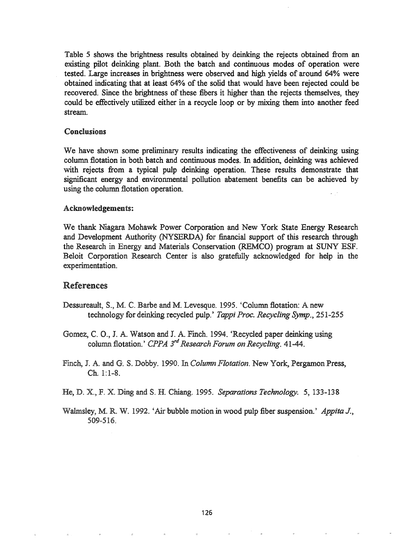Table 5 shows the brightness results obtained by deinking the rejects obtained from an existing pilot deinking plant. Both the batch and continuous modes of operation were tested. Large increases in brightness were observed and high yields of around 64% were obtained indicating that at least 64% of the solid that would have been rejected could be recovered. Since the brightness of these fibers it higher than the rejects themselves, they could be effectively utilized either in a recycle loop or by mixing them into another feed stream.

## Conclusions

We have shown some preliminary results indicating the effectiveness of deinking using column flotation in both batch and continuous modes. In addition, deinking was achieved with rejects from a typical pulp deinking operation. These results demonstrate that significant energy and environmental pollution abatement benefits can be achieved by using the column flotation operation.

#### Acknowledgements:

We thank Niagara Mohawk Power Corporation and New York State Energy Research and Development Authority (NYSERDA) for financial support of this research through the Research in Energy and Materials Conservation (REMCO) program at SUNY ESF. Beloit Corporation Research Center is also gratefully acknowledged for help in the experimentation.

## References

- Dessureault, S., M. C. Barbe and M. Levesque. 1995. 'Column flotation: A new technology for deinking recycled pulp.' Tappi Proc. Recycling Symp., 251-255
- Gomez, C. O., J. A. Watson and J. A. Finch. 1994. 'Recycled paper deinking using  $~$  column flotation.' *CPPA* 3<sup>rd</sup> Research *Forum* on Recycling. 41-44.
- Finch, J. A. and G. S. Dobby. 1990. In *Column Flotation*. New York, Pergamon Press,  $Ch. 1:1-8.$
- He, D. X., F. X. Ding and S. H. Chiang. 1995. *Separations Technology*. 5, 133-138
- Walmsley, M. R. W. 1992. 'Air bubble motion in wood pulp fiber suspension.' Appita J., 509-516.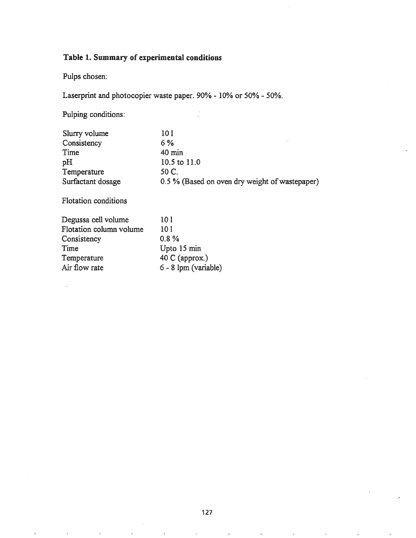# Table 1. Summary of experimental conditions

Pulps chosen:

Laserprint and photocopier waste paper. 90% - 10% or 50% - 50%.

Pulping conditions:

| 10 1                                           |
|------------------------------------------------|
| 6%                                             |
| 40 min                                         |
| 10.5 to 11.0                                   |
| 50 C.                                          |
| 0.5 % (Based on oven dry weight of wastepaper) |
|                                                |

Flotation conditions

| Degussa cell volume     | 101                    |
|-------------------------|------------------------|
| Flotation column volume | 101                    |
| Consistency             | $0.8 \%$               |
| Time                    | Upto 15 min            |
| Temperature             | 40 C (approx.)         |
| Air flow rate           | $6 - 8$ lpm (variable) |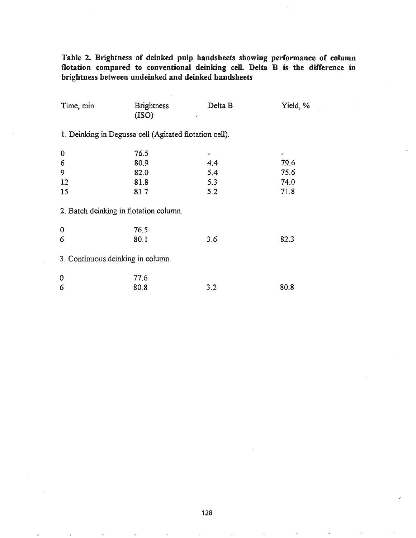| Time, min                                              | <b>Brightness</b><br>(ISO) | Delta B | Yield, % |  |
|--------------------------------------------------------|----------------------------|---------|----------|--|
| 1. Deinking in Degussa cell (Agitated flotation cell). |                            |         |          |  |
| 0                                                      | 76.5                       |         | æ        |  |
| 6                                                      | 80.9                       | 4.4     | 79.6     |  |
| 9                                                      | 82.0                       | 5.4     | 75.6     |  |
| 12                                                     | 81.8                       | 5.3     | 74.0     |  |
| 15                                                     | 81.7                       | 5.2     | 71.8     |  |
| 2. Batch deinking in flotation column.                 |                            |         |          |  |
| 0                                                      | 76.5                       |         |          |  |
| 6                                                      | 80.1                       | 3.6     | 82.3     |  |
| 3. Continuous deinking in column.                      |                            |         |          |  |
| 0                                                      | 77.6                       |         |          |  |
| 6                                                      | 80.8                       | 3.2     | 80.8     |  |

Table 2. Brightness of deinked pulp handsheets showing performance of column flotation compared to conventional deinking cell. Delta B is the difference in brightness between undeinked and deinked bandsheets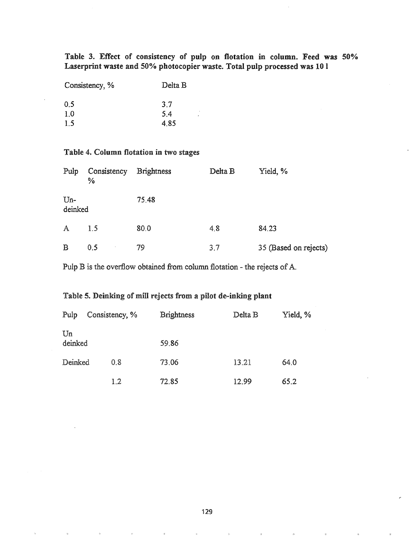Table 3. Effect of consistency of pulp on flotation in column. Feed was 50% Laserprint waste and 50% photocopier waste. Total pulp processed was 10 I

| Consistency, % | Delta B |
|----------------|---------|
| 0.5            | 3.7     |
| 1.0            | 5.4     |
| 1.5            | 4.85    |

## Table 4. Column flotation in two stages

| Pulp             | Consistency<br>% | <b>Brightness</b> | Delta B | Yield, %              |
|------------------|------------------|-------------------|---------|-----------------------|
| $Un-$<br>deinked |                  | 75.48             |         |                       |
| $\mathsf{A}$     | 1.5              | 80.0              | 4.8     | 84.23                 |
| $\mathbf B$      | 0.5              | 79                | 3.7     | 35 (Based on rejects) |

Pulp B is the overflow obtained from column flotation - the rejects of A.

# Table 5. Deinking of mill rejects from a pilot de-inking plant

| Consistency, %<br>Pulp   |  |     | <b>Brightness</b> | Delta B | Yield, % |
|--------------------------|--|-----|-------------------|---------|----------|
| $\mathbf{Un}$<br>deinked |  |     | 59.86             |         |          |
| Deinked                  |  | 0.8 | 73.06             | 13.21   | 64.0     |
|                          |  | 1.2 | 72.85             | 12.99   | 65.2     |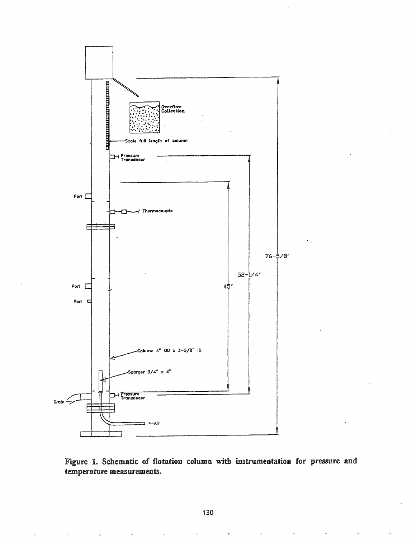